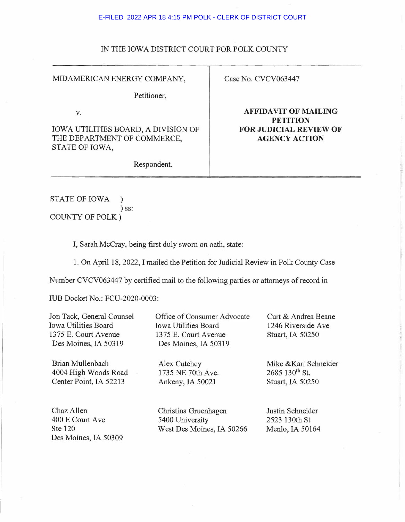## E-FILED 2022 APR 18 4:15 PM POLK - CLERK OF DISTRICT COURT

## IN THE IOWA DISTRICT COURT FOR POLK COUNTY

## MIDAMERICAN ENERGY COMPANY,

Petitioner,

V.

IOWA UTILITIES BOARD, A DIVISION OF THE DEPARTMENT OF COMMERCE, STATE OF IOWA,

Case No. CVCV063447

**AFFIDAVIT OF MAILING PETITION FOR JUDICIAL REVIEW OF AGENCY ACTION**

Respondent.

STATE OF IOWA ) ) ss: COUNTY OF POLK)

I, Sarah McCray, being first duly sworn on oath, state:

1. On April 18, 2022,I mailed the Petition for Judicial Review in Polk County Case

Number CVCV063447 by certified mail to the following parties or attorneys of record in

IUB Docket No.: FCU-2020-0003:

Jon Tack, General Counsel Iowa Utilities Board 1375 E. Court Avenue Des Moines, IA 50319

Brian Mullenbach 4004 High Woods Road Center Point, IA 52213

Office of Consumer Advocate Iowa Utilities Board 13 75 E. Court Avenue Des Moines, IA 50319

Alex Cutchey 1735 NE 70th Ave. Ankeny, IA 50021

Curt & Andrea Beane 1246 Riverside Ave Stuart, IA 50250

Mike &Kari Schneider  $2685$  130<sup>th</sup> St. Stuart, IA 50250

Chaz Allen 400 E Court Ave Ste 120 Des Moines, IA 50309

Christina Gruenhagen 5400 University West Des Moines, IA 50266 Justin Schneider 2523 130th St Menlo, IA 50164